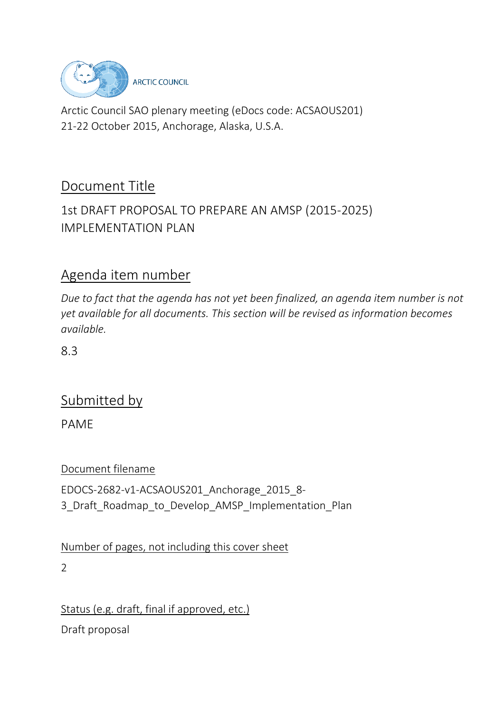

Arctic Council SAO plenary meeting (eDocs code: ACSAOUS201) 21-22 October 2015, Anchorage, Alaska, U.S.A.

# Document Title

### 1st DRAFT PROPOSAL TO PREPARE AN AMSP (2015-2025) IMPI FMENTATION PLAN

### Agenda item number

*Due to fact that the agenda has not yet been finalized, an agenda item number is not yet available for all documents. This section will be revised as information becomes available.*

8.3

# Submitted by

PAME

Document filename

EDOCS-2682-v1-ACSAOUS201\_Anchorage\_2015\_8- 3\_Draft\_Roadmap\_to\_Develop\_AMSP\_Implementation\_Plan

Number of pages, not including this cover sheet

2

Status (e.g. draft, final if approved, etc.) Draft proposal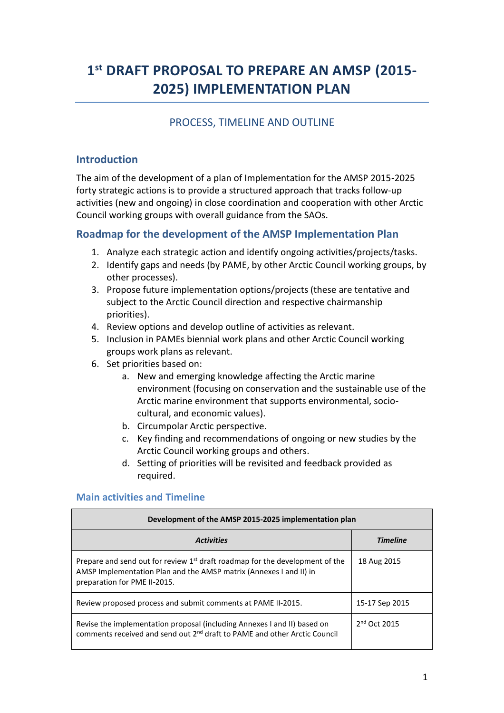# **1 st DRAFT PROPOSAL TO PREPARE AN AMSP (2015- 2025) IMPLEMENTATION PLAN**

### PROCESS, TIMELINE AND OUTLINE

#### **Introduction**

The aim of the development of a plan of Implementation for the AMSP 2015-2025 forty strategic actions is to provide a structured approach that tracks follow-up activities (new and ongoing) in close coordination and cooperation with other Arctic Council working groups with overall guidance from the SAOs.

#### **Roadmap for the development of the AMSP Implementation Plan**

- 1. Analyze each strategic action and identify ongoing activities/projects/tasks.
- 2. Identify gaps and needs (by PAME, by other Arctic Council working groups, by other processes).
- 3. Propose future implementation options/projects (these are tentative and subject to the Arctic Council direction and respective chairmanship priorities).
- 4. Review options and develop outline of activities as relevant.
- 5. Inclusion in PAMEs biennial work plans and other Arctic Council working groups work plans as relevant.
- 6. Set priorities based on:
	- a. New and emerging knowledge affecting the Arctic marine environment (focusing on conservation and the sustainable use of the Arctic marine environment that supports environmental, sociocultural, and economic values).
	- b. Circumpolar Arctic perspective.
	- c. Key finding and recommendations of ongoing or new studies by the Arctic Council working groups and others.
	- d. Setting of priorities will be revisited and feedback provided as required.

#### **Main activities and Timeline**

| Development of the AMSP 2015-2025 implementation plan                                                                                                                                |                 |  |
|--------------------------------------------------------------------------------------------------------------------------------------------------------------------------------------|-----------------|--|
| <b>Activities</b>                                                                                                                                                                    | <b>Timeline</b> |  |
| Prepare and send out for review $1st$ draft roadmap for the development of the<br>AMSP Implementation Plan and the AMSP matrix (Annexes I and II) in<br>preparation for PME II-2015. | 18 Aug 2015     |  |
| Review proposed process and submit comments at PAME II-2015.                                                                                                                         | 15-17 Sep 2015  |  |
| Revise the implementation proposal (including Annexes I and II) based on<br>comments received and send out 2 <sup>nd</sup> draft to PAME and other Arctic Council                    | $2nd$ Oct 2015  |  |